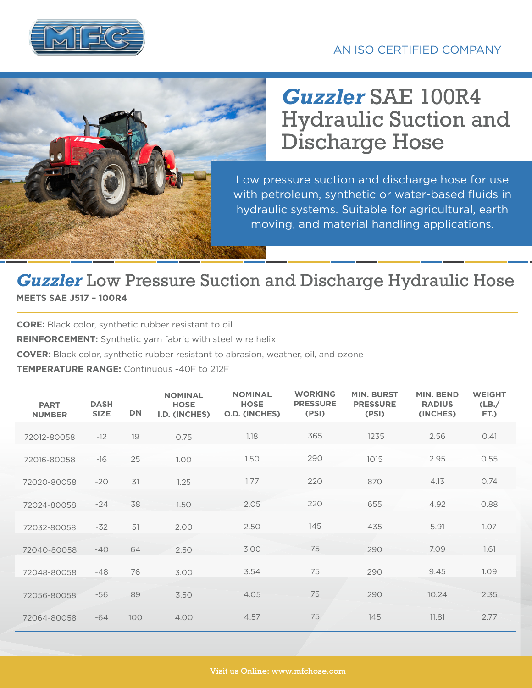

## *Guzzler* SAE 100R4 Hydraulic Suction and Discharge Hose

Low pressure suction and discharge hose for use with petroleum, synthetic or water-based fluids in hydraulic systems. Suitable for agricultural, earth moving, and material handling applications.

## *Guzzler* Low Pressure Suction and Discharge Hydraulic Hose

**MEETS SAE J517 – 100R4**

**CORE:** Black color, synthetic rubber resistant to oil

**REINFORCEMENT:** Synthetic yarn fabric with steel wire helix

**COVER:** Black color, synthetic rubber resistant to abrasion, weather, oil, and ozone

## **TEMPERATURE RANGE:** Continuous -40F to 212F

| <b>PART</b><br><b>NUMBER</b> | <b>DASH</b><br><b>SIZE</b> | <b>DN</b> | <b>NOMINAL</b><br><b>HOSE</b><br>I.D. (INCHES) | <b>NOMINAL</b><br><b>HOSE</b><br><b>O.D. (INCHES)</b> | <b>WORKING</b><br><b>PRESSURE</b><br>(PSI) | <b>MIN. BURST</b><br><b>PRESSURE</b><br>(PSI) | <b>MIN. BEND</b><br><b>RADIUS</b><br>(INCHES) | <b>WEIGHT</b><br>(LB)<br>FT.) |
|------------------------------|----------------------------|-----------|------------------------------------------------|-------------------------------------------------------|--------------------------------------------|-----------------------------------------------|-----------------------------------------------|-------------------------------|
| 72012-80058                  | $-12$                      | 19        | 0.75                                           | 1.18                                                  | 365                                        | 1235                                          | 2.56                                          | 0.41                          |
| 72016-80058                  | $-16$                      | 25        | 1.00 <sub>1</sub>                              | 1.50                                                  | 290                                        | 1015                                          | 2.95                                          | 0.55                          |
| 72020-80058                  | $-20$                      | 31        | 1.25                                           | 1.77                                                  | 220                                        | 870                                           | 4.13                                          | 0.74                          |
| 72024-80058                  | $-24$                      | 38        | 1.50                                           | 2.05                                                  | 220                                        | 655                                           | 4.92                                          | 0.88                          |
| 72032-80058                  | $-32$                      | 51        | 2.00                                           | 2.50                                                  | 145                                        | 435                                           | 5.91                                          | 1.07                          |
| 72040-80058                  | $-40$                      | 64        | 2.50                                           | 3.00                                                  | 75                                         | 290                                           | 7.09                                          | 1.61                          |
| 72048-80058                  | $-48$                      | 76        | 3.00                                           | 3.54                                                  | 75                                         | 290                                           | 9.45                                          | 1.09                          |
| 72056-80058                  | $-56$                      | 89        | 3.50                                           | 4.05                                                  | 75                                         | 290                                           | 10.24                                         | 2.35                          |
| 72064-80058                  | $-64$                      | 100       | 4.00                                           | 4.57                                                  | 75                                         | 145                                           | 11.81                                         | 2.77                          |